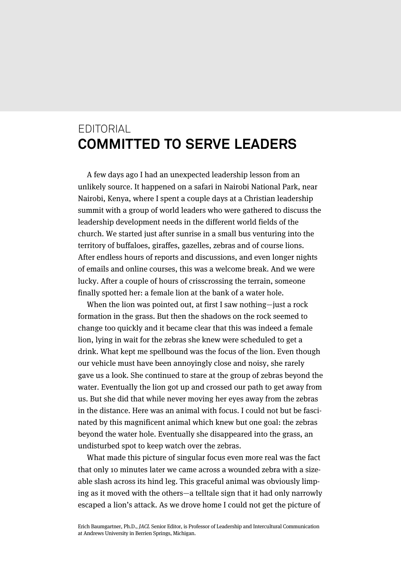## EDITORIAL **COMMITTED TO SERVE LEADERS**

A few days ago I had an unexpected leadership lesson from an unlikely source. It happened on a safari in Nairobi National Park, near Nairobi, Kenya, where I spent a couple days at a Christian leadership summit with a group of world leaders who were gathered to discuss the leadership development needs in the different world fields of the church. We started just after sunrise in a small bus venturing into the territory of buffaloes, giraffes, gazelles, zebras and of course lions. After endless hours of reports and discussions, and even longer nights of emails and online courses, this was a welcome break. And we were lucky. After a couple of hours of crisscrossing the terrain, someone finally spotted her: a female lion at the bank of a water hole.

When the lion was pointed out, at first I saw nothing—just a rock formation in the grass. But then the shadows on the rock seemed to change too quickly and it became clear that this was indeed a female lion, lying in wait for the zebras she knew were scheduled to get a drink. What kept me spellbound was the focus of the lion. Even though our vehicle must have been annoyingly close and noisy, she rarely gave us a look. She continued to stare at the group of zebras beyond the water. Eventually the lion got up and crossed our path to get away from us. But she did that while never moving her eyes away from the zebras in the distance. Here was an animal with focus. I could not but be fascinated by this magnificent animal which knew but one goal: the zebras beyond the water hole. Eventually she disappeared into the grass, an undisturbed spot to keep watch over the zebras.

What made this picture of singular focus even more real was the fact that only 10 minutes later we came across a wounded zebra with a sizeable slash across its hind leg. This graceful animal was obviously limping as it moved with the others—a telltale sign that it had only narrowly escaped a lion's attack. As we drove home I could not get the picture of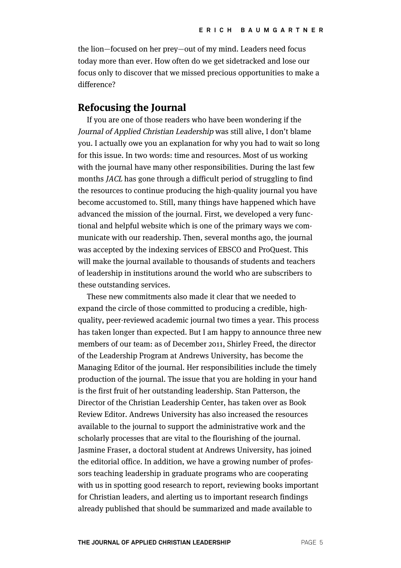the lion—focused on her prey—out of my mind. Leaders need focus today more than ever. How often do we get sidetracked and lose our focus only to discover that we missed precious opportunities to make a difference?

## **Refocusing the Journal**

If you are one of those readers who have been wondering if the Journal of Applied Christian Leadership was still alive, I don't blame you. I actually owe you an explanation for why you had to wait so long for this issue. In two words: time and resources. Most of us working with the journal have many other responsibilities. During the last few months JACL has gone through a difficult period of struggling to find the resources to continue producing the high-quality journal you have become accustomed to. Still, many things have happened which have advanced the mission of the journal. First, we developed a very functional and helpful website which is one of the primary ways we communicate with our readership. Then, several months ago, the journal was accepted by the indexing services of EBSCO and ProQuest. This will make the journal available to thousands of students and teachers of leadership in institutions around the world who are subscribers to these outstanding services.

These new commitments also made it clear that we needed to expand the circle of those committed to producing a credible, highquality, peer-reviewed academic journal two times a year. This process has taken longer than expected. But I am happy to announce three new members of our team: as of December 2011, Shirley Freed, the director of the Leadership Program at Andrews University, has become the Managing Editor of the journal. Her responsibilities include the timely production of the journal. The issue that you are holding in your hand is the first fruit of her outstanding leadership. Stan Patterson, the Director of the Christian Leadership Center, has taken over as Book Review Editor. Andrews University has also increased the resources available to the journal to support the administrative work and the scholarly processes that are vital to the flourishing of the journal. Jasmine Fraser, a doctoral student at Andrews University, has joined the editorial office. In addition, we have a growing number of professors teaching leadership in graduate programs who are cooperating with us in spotting good research to report, reviewing books important for Christian leaders, and alerting us to important research findings already published that should be summarized and made available to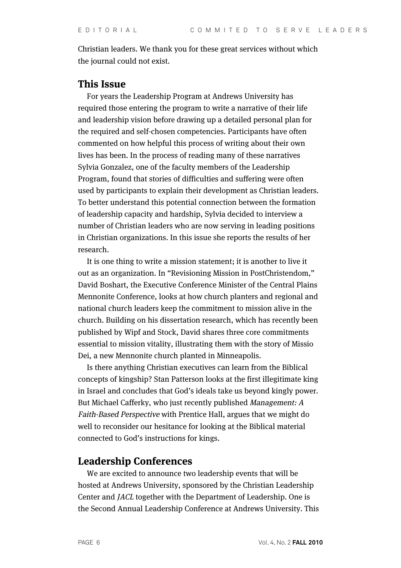Christian leaders. We thank you for these great services without which the journal could not exist.

## **This Issue**

For years the Leadership Program at Andrews University has required those entering the program to write a narrative of their life and leadership vision before drawing up a detailed personal plan for the required and self-chosen competencies. Participants have often commented on how helpful this process of writing about their own lives has been. In the process of reading many of these narratives Sylvia Gonzalez, one of the faculty members of the Leadership Program, found that stories of difficulties and suffering were often used by participants to explain their development as Christian leaders. To better understand this potential connection between the formation of leadership capacity and hardship, Sylvia decided to interview a number of Christian leaders who are now serving in leading positions in Christian organizations. In this issue she reports the results of her research.

It is one thing to write a mission statement; it is another to live it out as an organization. In "Revisioning Mission in PostChristendom," David Boshart, the Executive Conference Minister of the Central Plains Mennonite Conference, looks at how church planters and regional and national church leaders keep the commitment to mission alive in the church. Building on his dissertation research, which has recently been published by Wipf and Stock, David shares three core commitments essential to mission vitality, illustrating them with the story of Missio Dei, a new Mennonite church planted in Minneapolis.

Is there anything Christian executives can learn from the Biblical concepts of kingship? Stan Patterson looks at the first illegitimate king in Israel and concludes that God's ideals take us beyond kingly power. But Michael Cafferky, who just recently published Management: A Faith-Based Perspective with Prentice Hall, argues that we might do well to reconsider our hesitance for looking at the Biblical material connected to God's instructions for kings.

## **Leadership Conferences**

We are excited to announce two leadership events that will be hosted at Andrews University, sponsored by the Christian Leadership Center and JACL together with the Department of Leadership. One is the Second Annual Leadership Conference at Andrews University. This